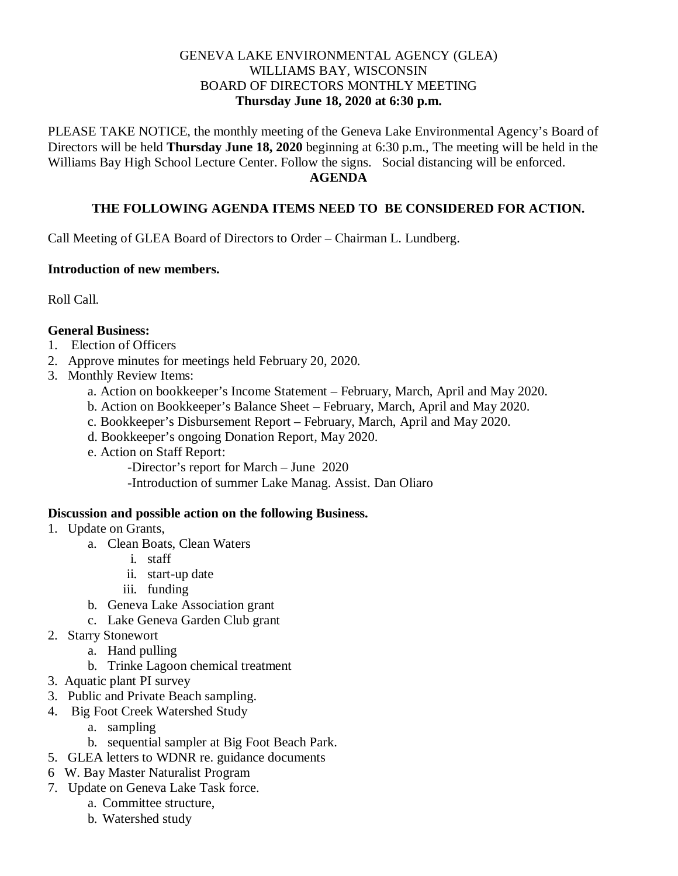### GENEVA LAKE ENVIRONMENTAL AGENCY (GLEA) WILLIAMS BAY, WISCONSIN BOARD OF DIRECTORS MONTHLY MEETING **Thursday June 18, 2020 at 6:30 p.m.**

PLEASE TAKE NOTICE, the monthly meeting of the Geneva Lake Environmental Agency's Board of Directors will be held **Thursday June 18, 2020** beginning at 6:30 p.m., The meeting will be held in the Williams Bay High School Lecture Center. Follow the signs. Social distancing will be enforced. **AGENDA**

# **THE FOLLOWING AGENDA ITEMS NEED TO BE CONSIDERED FOR ACTION.**

Call Meeting of GLEA Board of Directors to Order – Chairman L. Lundberg.

#### **Introduction of new members.**

Roll Call.

### **General Business:**

- 1.Election of Officers
- 2. Approve minutes for meetings held February 20, 2020.
- 3. Monthly Review Items:
	- a. Action on bookkeeper's Income Statement February, March, April and May 2020.
	- b. Action on Bookkeeper's Balance Sheet February, March, April and May 2020.
	- c. Bookkeeper's Disbursement Report February, March, April and May 2020.
	- d. Bookkeeper's ongoing Donation Report, May 2020.
	- e. Action on Staff Report:

-Director's report for March – June 2020 -Introduction of summer Lake Manag. Assist. Dan Oliaro

# **Discussion and possible action on the following Business.**

- 1. Update on Grants,
	- a. Clean Boats, Clean Waters
		- i. staff
		- ii. start-up date
		- iii. funding
	- b. Geneva Lake Association grant
	- c. Lake Geneva Garden Club grant
- 2. Starry Stonewort
	- a. Hand pulling
	- b. Trinke Lagoon chemical treatment
- 3. Aquatic plant PI survey
- 3. Public and Private Beach sampling.
- 4. Big Foot Creek Watershed Study
	- a. sampling
	- b. sequential sampler at Big Foot Beach Park.
- 5. GLEA letters to WDNR re. guidance documents
- 6 W. Bay Master Naturalist Program
- 7. Update on Geneva Lake Task force.
	- a. Committee structure,
	- b. Watershed study